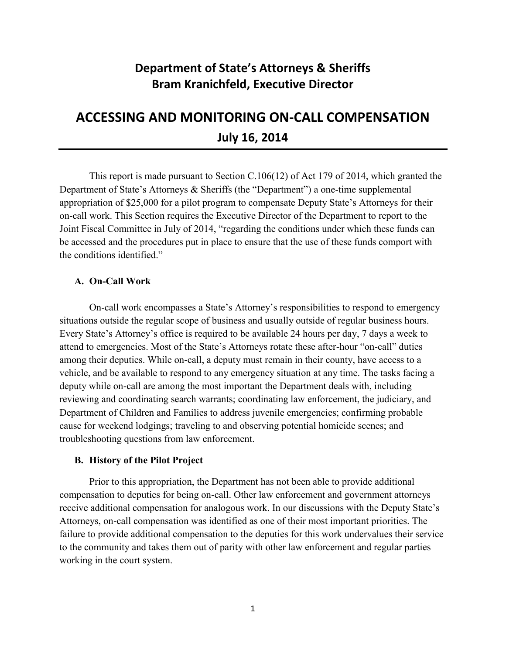# **Department of State's Attorneys & Sheriffs Bram Kranichfeld, Executive Director**

# **ACCESSING AND MONITORING ON-CALL COMPENSATION July 16, 2014**

This report is made pursuant to Section C.106(12) of Act 179 of 2014, which granted the Department of State's Attorneys & Sheriffs (the "Department") a one-time supplemental appropriation of \$25,000 for a pilot program to compensate Deputy State's Attorneys for their on-call work. This Section requires the Executive Director of the Department to report to the Joint Fiscal Committee in July of 2014, "regarding the conditions under which these funds can be accessed and the procedures put in place to ensure that the use of these funds comport with the conditions identified."

## **A. On-Call Work**

On-call work encompasses a State's Attorney's responsibilities to respond to emergency situations outside the regular scope of business and usually outside of regular business hours. Every State's Attorney's office is required to be available 24 hours per day, 7 days a week to attend to emergencies. Most of the State's Attorneys rotate these after-hour "on-call" duties among their deputies. While on-call, a deputy must remain in their county, have access to a vehicle, and be available to respond to any emergency situation at any time. The tasks facing a deputy while on-call are among the most important the Department deals with, including reviewing and coordinating search warrants; coordinating law enforcement, the judiciary, and Department of Children and Families to address juvenile emergencies; confirming probable cause for weekend lodgings; traveling to and observing potential homicide scenes; and troubleshooting questions from law enforcement.

#### **B. History of the Pilot Project**

Prior to this appropriation, the Department has not been able to provide additional compensation to deputies for being on-call. Other law enforcement and government attorneys receive additional compensation for analogous work. In our discussions with the Deputy State's Attorneys, on-call compensation was identified as one of their most important priorities. The failure to provide additional compensation to the deputies for this work undervalues their service to the community and takes them out of parity with other law enforcement and regular parties working in the court system.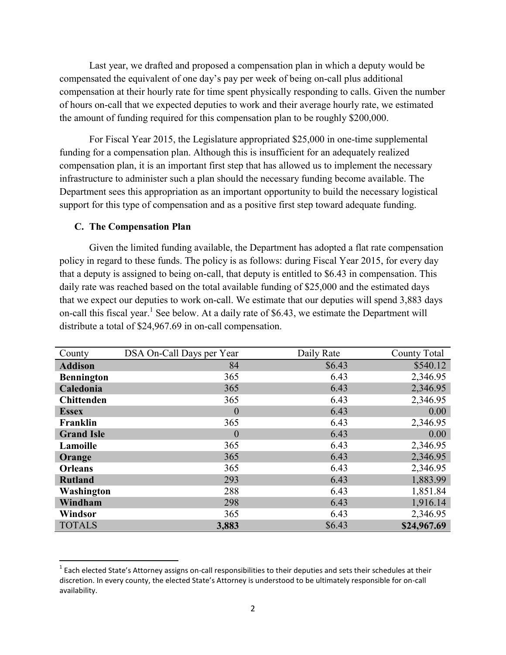Last year, we drafted and proposed a compensation plan in which a deputy would be compensated the equivalent of one day's pay per week of being on-call plus additional compensation at their hourly rate for time spent physically responding to calls. Given the number of hours on-call that we expected deputies to work and their average hourly rate, we estimated the amount of funding required for this compensation plan to be roughly \$200,000.

For Fiscal Year 2015, the Legislature appropriated \$25,000 in one-time supplemental funding for a compensation plan. Although this is insufficient for an adequately realized compensation plan, it is an important first step that has allowed us to implement the necessary infrastructure to administer such a plan should the necessary funding become available. The Department sees this appropriation as an important opportunity to build the necessary logistical support for this type of compensation and as a positive first step toward adequate funding.

## **C. The Compensation Plan**

 $\overline{\phantom{a}}$ 

Given the limited funding available, the Department has adopted a flat rate compensation policy in regard to these funds. The policy is as follows: during Fiscal Year 2015, for every day that a deputy is assigned to being on-call, that deputy is entitled to \$6.43 in compensation. This daily rate was reached based on the total available funding of \$25,000 and the estimated days that we expect our deputies to work on-call. We estimate that our deputies will spend 3,883 days on-call this fiscal year.<sup>1</sup> See below. At a daily rate of \$6.43, we estimate the Department will distribute a total of \$24,967.69 in on-call compensation.

| County            | DSA On-Call Days per Year | Daily Rate | <b>County Total</b> |
|-------------------|---------------------------|------------|---------------------|
| <b>Addison</b>    | 84                        | \$6.43     | \$540.12            |
| <b>Bennington</b> | 365                       | 6.43       | 2,346.95            |
| Caledonia         | 365                       | 6.43       | 2,346.95            |
| <b>Chittenden</b> | 365                       | 6.43       | 2,346.95            |
| <b>Essex</b>      | $\boldsymbol{0}$          | 6.43       | 0.00                |
| Franklin          | 365                       | 6.43       | 2,346.95            |
| <b>Grand Isle</b> | $\boldsymbol{0}$          | 6.43       | 0.00                |
| Lamoille          | 365                       | 6.43       | 2,346.95            |
| Orange            | 365                       | 6.43       | 2,346.95            |
| <b>Orleans</b>    | 365                       | 6.43       | 2,346.95            |
| <b>Rutland</b>    | 293                       | 6.43       | 1,883.99            |
| Washington        | 288                       | 6.43       | 1,851.84            |
| Windham           | 298                       | 6.43       | 1,916.14            |
| Windsor           | 365                       | 6.43       | 2,346.95            |
| <b>TOTALS</b>     | 3,883                     | \$6.43     | \$24,967.69         |

 $^1$  Each elected State's Attorney assigns on-call responsibilities to their deputies and sets their schedules at their discretion. In every county, the elected State's Attorney is understood to be ultimately responsible for on-call availability.